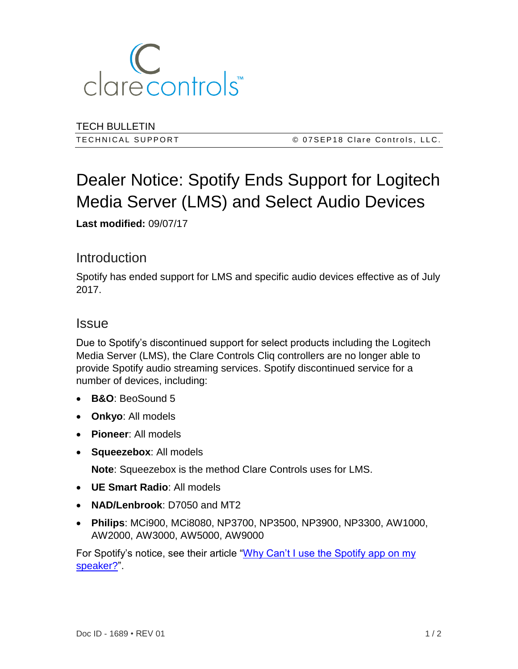

TECH BULLETIN

TECHNICAL SUPPORT **EXAMPLE 2008** 07SEP18 Clare Controls, LLC.

# Dealer Notice: Spotify Ends Support for Logitech Media Server (LMS) and Select Audio Devices

**Last modified:** 09/07/17

## **Introduction**

Spotify has ended support for LMS and specific audio devices effective as of July 2017.

#### **Issue**

Due to Spotify's discontinued support for select products including the Logitech Media Server (LMS), the Clare Controls Cliq controllers are no longer able to provide Spotify audio streaming services. Spotify discontinued service for a number of devices, including:

- **B&O**: BeoSound 5
- **Onkyo**: All models
- **Pioneer**: All models
- **Squeezebox**: All models

**Note**: Squeezebox is the method Clare Controls uses for LMS.

- **UE Smart Radio**: All models
- **NAD/Lenbrook**: D7050 and MT2
- **Philips**: MCi900, MCi8080, NP3700, NP3500, NP3900, NP3300, AW1000, AW2000, AW3000, AW5000, AW9000

For Spotify's notice, see their article ["Why Can't I use the Spotify app on my](https://support.spotify.com/us/listen_everywhere/on_speaker/why-cant-i-use-the-spotify-app-on-my-speaker/)  [speaker?"](https://support.spotify.com/us/listen_everywhere/on_speaker/why-cant-i-use-the-spotify-app-on-my-speaker/).